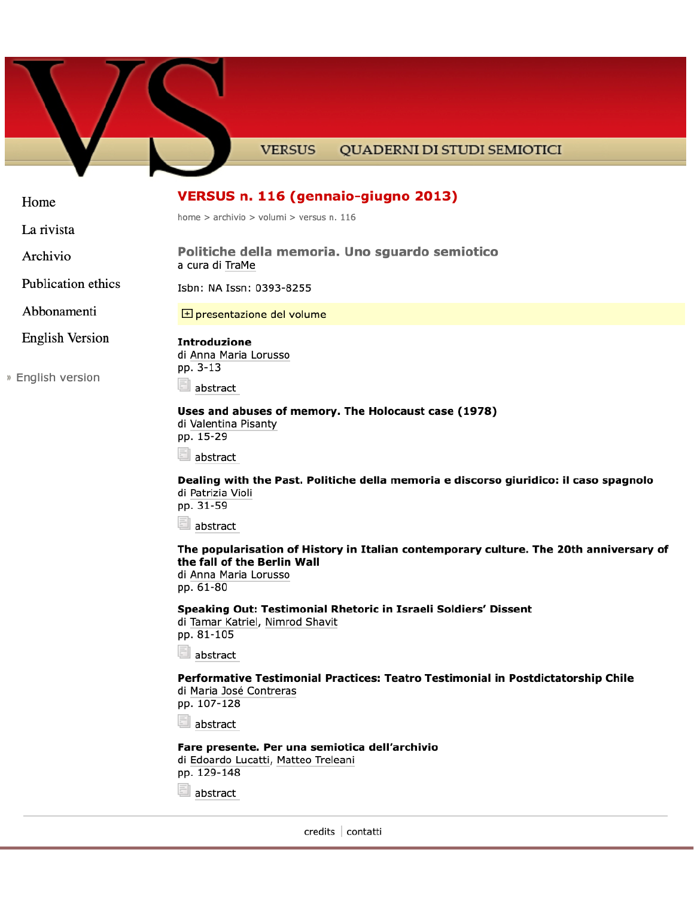**VERSUS** QUADERNI DI STUDI SEMIOTICI

| Home                                        | VERSUS n. 116 (gennaio-giugno 2013)                                                                                                                         |
|---------------------------------------------|-------------------------------------------------------------------------------------------------------------------------------------------------------------|
| La rivista                                  | home $>$ archivio $>$ volumi $>$ versus n. 116                                                                                                              |
| Archivio                                    | Politiche della memoria. Uno sguardo semiotico<br>a cura di TraMe                                                                                           |
| <b>Publication ethics</b>                   | Isbn: NA Issn: 0393-8255                                                                                                                                    |
| Abbonamenti                                 | $\boxplus$ presentazione del volume                                                                                                                         |
| <b>English Version</b><br>» English version | <b>Introduzione</b><br>di Anna Maria Lorusso<br>pp. 3-13<br>abstract                                                                                        |
|                                             | Uses and abuses of memory. The Holocaust case (1978)<br>di Valentina Pisanty<br>pp. 15-29<br>abstract                                                       |
|                                             | Dealing with the Past. Politiche della memoria e discorso giuridico: il caso spagnolo<br>di Patrizia Violi<br>pp. 31-59<br>abstract                         |
|                                             | The popularisation of History in Italian contemporary culture. The 20th anniversary of<br>the fall of the Berlin Wall<br>di Anna Maria Lorusso<br>pp. 61-80 |
|                                             | Speaking Out: Testimonial Rhetoric in Israeli Soldiers' Dissent<br>di Tamar Katriel, Nimrod Shavit<br>pp. 81-105<br>abstract                                |
|                                             | Performative Testimonial Practices: Teatro Testimonial in Postdictatorship Chile<br>di Maria José Contreras<br>pp. 107-128<br>abstract                      |
|                                             | Fare presente. Per una semiotica dell'archivio<br>di Edoardo Lucatti, Matteo Treleani<br>pp. 129-148<br>abstract                                            |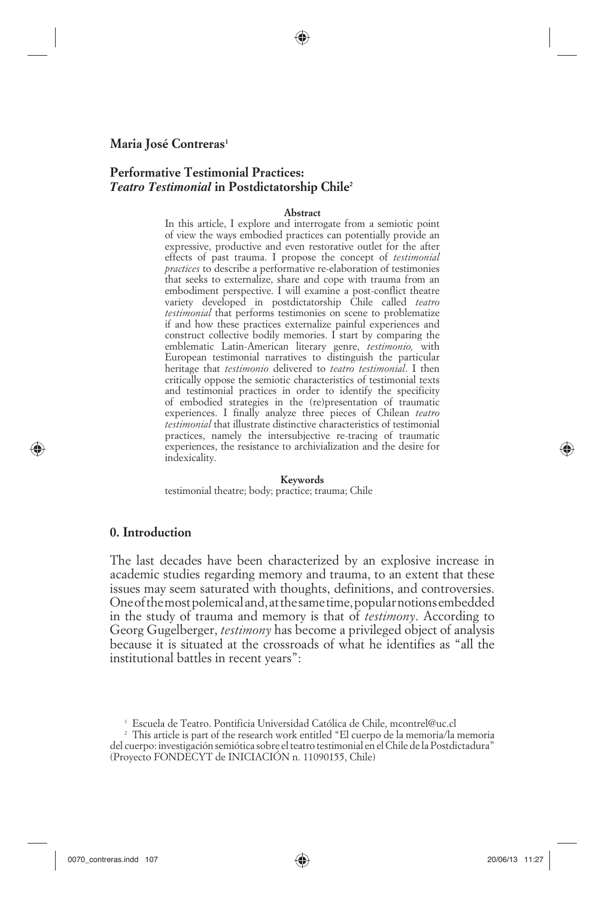Maria José Contreras<sup>1</sup>

# **Performative Testimonial Practices:** *Teatro Testimonial* **in Postdictatorship Chile2**

#### **Abstract**

In this article, I explore and interrogate from a semiotic point of view the ways embodied practices can potentially provide an expressive, productive and even restorative outlet for the after effects of past trauma. I propose the concept of *testimonial practices* to describe a performative re-elaboration of testimonies that seeks to externalize, share and cope with trauma from an embodiment perspective. I will examine a post-conflict theatre variety developed in postdictatorship Chile called *teatro testimonial* that performs testimonies on scene to problematize if and how these practices externalize painful experiences and construct collective bodily memories. I start by comparing the emblematic Latin-American literary genre, *testimonio,* with European testimonial narratives to distinguish the particular heritage that *testimonio* delivered to *teatro testimonial*. I then critically oppose the semiotic characteristics of testimonial texts and testimonial practices in order to identify the specificity of embodied strategies in the (re)presentation of traumatic experiences. I finally analyze three pieces of Chilean *teatro testimonial* that illustrate distinctive characteristics of testimonial practices, namely the intersubjective re-tracing of traumatic experiences, the resistance to archivialization and the desire for indexicality.

# **Keywords**

testimonial theatre; body; practice; trauma; Chile

# **0. Introduction**

⊕

The last decades have been characterized by an explosive increase in academic studies regarding memory and trauma, to an extent that these issues may seem saturated with thoughts, definitions, and controversies. One of the most polemical and, at the same time, popular notions embedded in the study of trauma and memory is that of *testimony*. According to Georg Gugelberger, *testimony* has become a privileged object of analysis because it is situated at the crossroads of what he identifies as "all the institutional battles in recent years":

2 This article is part of the research work entitled "El cuerpo de la memoria/la memoria del cuerpo: investigación semiótica sobre el teatro testimonial en el Chile de la Postdictadura" (Proyecto FONDECYT de INICIACIÓN n. 11090155, Chile)

<sup>1</sup> Escuela de Teatro. Pontificia Universidad Católica de Chile, mcontrel@uc.cl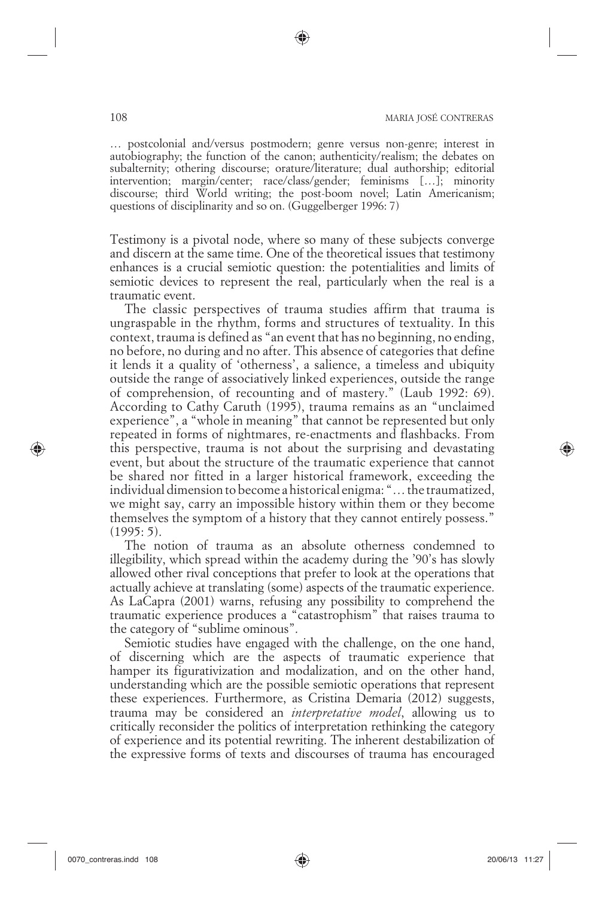… postcolonial and/versus postmodern; genre versus non-genre; interest in autobiography; the function of the canon; authenticity/realism; the debates on subalternity; othering discourse; orature/literature; dual authorship; editorial intervention; margin/center; race/class/gender; feminisms […]; minority discourse; third World writing; the post-boom novel; Latin Americanism; questions of disciplinarity and so on. (Guggelberger 1996: 7)

Testimony is a pivotal node, where so many of these subjects converge and discern at the same time. One of the theoretical issues that testimony enhances is a crucial semiotic question: the potentialities and limits of semiotic devices to represent the real, particularly when the real is a traumatic event.

The classic perspectives of trauma studies affirm that trauma is ungraspable in the rhythm, forms and structures of textuality. In this context, trauma is defined as "an event that has no beginning, no ending, no before, no during and no after. This absence of categories that define it lends it a quality of 'otherness', a salience, a timeless and ubiquity outside the range of associatively linked experiences, outside the range of comprehension, of recounting and of mastery." (Laub 1992: 69). According to Cathy Caruth (1995), trauma remains as an "unclaimed experience", a "whole in meaning" that cannot be represented but only repeated in forms of nightmares, re-enactments and flashbacks. From this perspective, trauma is not about the surprising and devastating event, but about the structure of the traumatic experience that cannot be shared nor fitted in a larger historical framework, exceeding the individual dimension to become a historical enigma: "… the traumatized, we might say, carry an impossible history within them or they become themselves the symptom of a history that they cannot entirely possess."  $(1995:5)$ .

The notion of trauma as an absolute otherness condemned to illegibility, which spread within the academy during the '90's has slowly allowed other rival conceptions that prefer to look at the operations that actually achieve at translating (some) aspects of the traumatic experience. As LaCapra (2001) warns, refusing any possibility to comprehend the traumatic experience produces a "catastrophism" that raises trauma to the category of "sublime ominous".

Semiotic studies have engaged with the challenge, on the one hand, of discerning which are the aspects of traumatic experience that hamper its figurativization and modalization, and on the other hand, understanding which are the possible semiotic operations that represent these experiences. Furthermore, as Cristina Demaria (2012) suggests, trauma may be considered an *interpretative model*, allowing us to critically reconsider the politics of interpretation rethinking the category of experience and its potential rewriting. The inherent destabilization of the expressive forms of texts and discourses of trauma has encouraged

⊕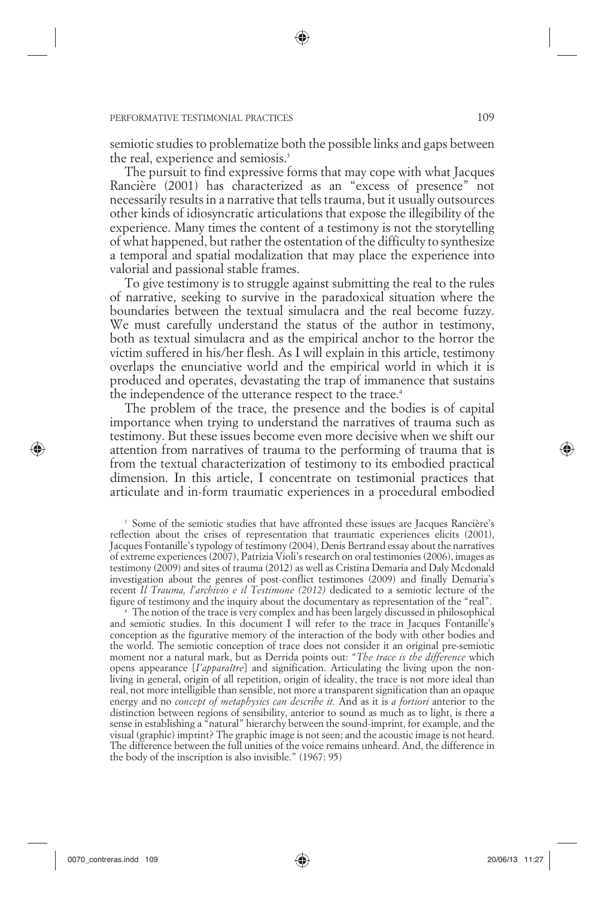semiotic studies to problematize both the possible links and gaps between the real, experience and semiosis.<sup>3</sup>

The pursuit to find expressive forms that may cope with what Jacques Rancière (2001) has characterized as an "excess of presence" not necessarily results in a narrative that tells trauma, but it usually outsources other kinds of idiosyncratic articulations that expose the illegibility of the experience. Many times the content of a testimony is not the storytelling of what happened, but rather the ostentation of the difficulty to synthesize a temporal and spatial modalization that may place the experience into valorial and passional stable frames.

To give testimony is to struggle against submitting the real to the rules of narrative, seeking to survive in the paradoxical situation where the boundaries between the textual simulacra and the real become fuzzy. We must carefully understand the status of the author in testimony, both as textual simulacra and as the empirical anchor to the horror the victim suffered in his/her flesh. As I will explain in this article, testimony overlaps the enunciative world and the empirical world in which it is produced and operates, devastating the trap of immanence that sustains the independence of the utterance respect to the trace.<sup>4</sup>

The problem of the trace, the presence and the bodies is of capital importance when trying to understand the narratives of trauma such as testimony. But these issues become even more decisive when we shift our attention from narratives of trauma to the performing of trauma that is from the textual characterization of testimony to its embodied practical dimension. In this article, I concentrate on testimonial practices that articulate and in-form traumatic experiences in a procedural embodied

<sup>3</sup> Some of the semiotic studies that have affronted these issues are Jacques Rancière's reflection about the crises of representation that traumatic experiences elicits (2001), Jacques Fontanille's typology of testimony (2004), Denis Bertrand essay about the narratives of extreme experiences (2007), Patrizia Violi's research on oral testimonies (2006), images as testimony (2009) and sites of trauma (2012) as well as Cristina Demaria and Daly Mcdonald investigation about the genres of post-conflict testimones (2009) and finally Demaria's recent *Il Trauma, l'archivio e il Testimone (2012)* dedicated to a semiotic lecture of the figure of testimony and the inquiry about the documentary as representation of the "real".

4 The notion of the trace is very complex and has been largely discussed in philosophical and semiotic studies. In this document I will refer to the trace in Jacques Fontanille's conception as the figurative memory of the interaction of the body with other bodies and the world. The semiotic conception of trace does not consider it an original pre-semiotic moment nor a natural mark, but as Derrida points out: "*The trace is the difference* which opens appearance [*I'apparaître*] and signification. Articulating the living upon the nonliving in general, origin of all repetition, origin of ideality, the trace is not more ideal than real, not more intelligible than sensible, not more a transparent signification than an opaque energy and no *concept of metaphysics can describe it.* And as it is *a fortiori* anterior to the distinction between regions of sensibility, anterior to sound as much as to light, is there a sense in establishing a "natural" hierarchy between the sound-imprint, for example, and the visual (graphic) imprint? The graphic image is not seen; and the acoustic image is not heard. The difference between the full unities of the voice remains unheard. And, the difference in the body of the inscription is also invisible." (1967: 95)

⊕

⇔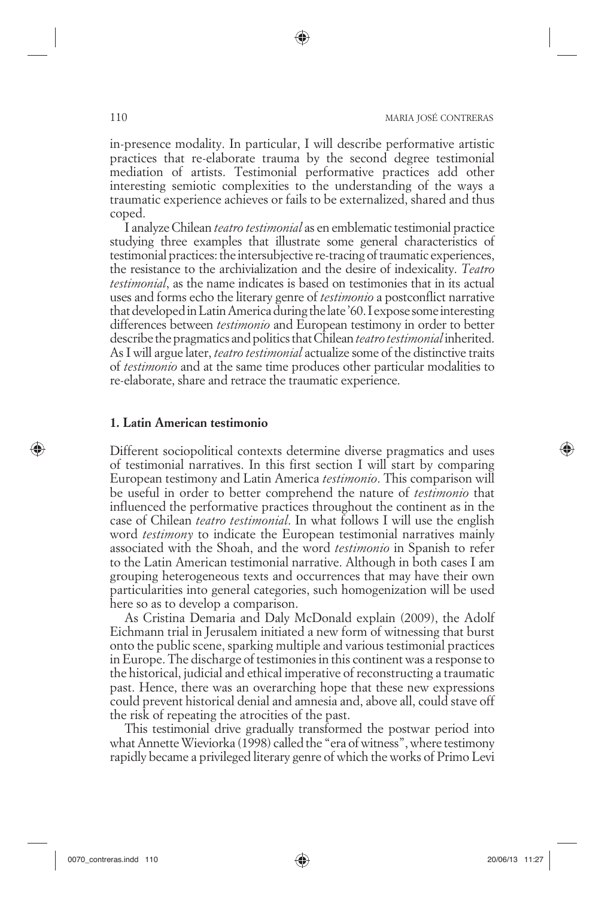in-presence modality. In particular, I will describe performative artistic practices that re-elaborate trauma by the second degree testimonial mediation of artists. Testimonial performative practices add other interesting semiotic complexities to the understanding of the ways a traumatic experience achieves or fails to be externalized, shared and thus coped.

◈

I analyze Chilean *teatro testimonial* as en emblematic testimonial practice studying three examples that illustrate some general characteristics of testimonial practices: the intersubjective re-tracing of traumatic experiences, the resistance to the archivialization and the desire of indexicality. *Teatro testimonial*, as the name indicates is based on testimonies that in its actual uses and forms echo the literary genre of *testimonio* a postconflict narrative that developed in Latin America during the late '60. I expose some interesting differences between *testimonio* and European testimony in order to better describe the pragmatics and politics that Chilean *teatro testimonial* inherited. As I will argue later, *teatro testimonial* actualize some of the distinctive traits of *testimonio* and at the same time produces other particular modalities to re-elaborate, share and retrace the traumatic experience.

# **1. Latin American testimonio**

Different sociopolitical contexts determine diverse pragmatics and uses of testimonial narratives. In this first section I will start by comparing European testimony and Latin America *testimonio*. This comparison will be useful in order to better comprehend the nature of *testimonio* that influenced the performative practices throughout the continent as in the case of Chilean *teatro testimonial*. In what follows I will use the english word *testimony* to indicate the European testimonial narratives mainly associated with the Shoah, and the word *testimonio* in Spanish to refer to the Latin American testimonial narrative. Although in both cases I am grouping heterogeneous texts and occurrences that may have their own particularities into general categories, such homogenization will be used here so as to develop a comparison.

As Cristina Demaria and Daly McDonald explain (2009), the Adolf Eichmann trial in Jerusalem initiated a new form of witnessing that burst onto the public scene, sparking multiple and various testimonial practices in Europe. The discharge of testimonies in this continent was a response to the historical, judicial and ethical imperative of reconstructing a traumatic past. Hence, there was an overarching hope that these new expressions could prevent historical denial and amnesia and, above all, could stave off the risk of repeating the atrocities of the past.

This testimonial drive gradually transformed the postwar period into what Annette Wieviorka (1998) called the "era of witness", where testimony rapidly became a privileged literary genre of which the works of Primo Levi

⊕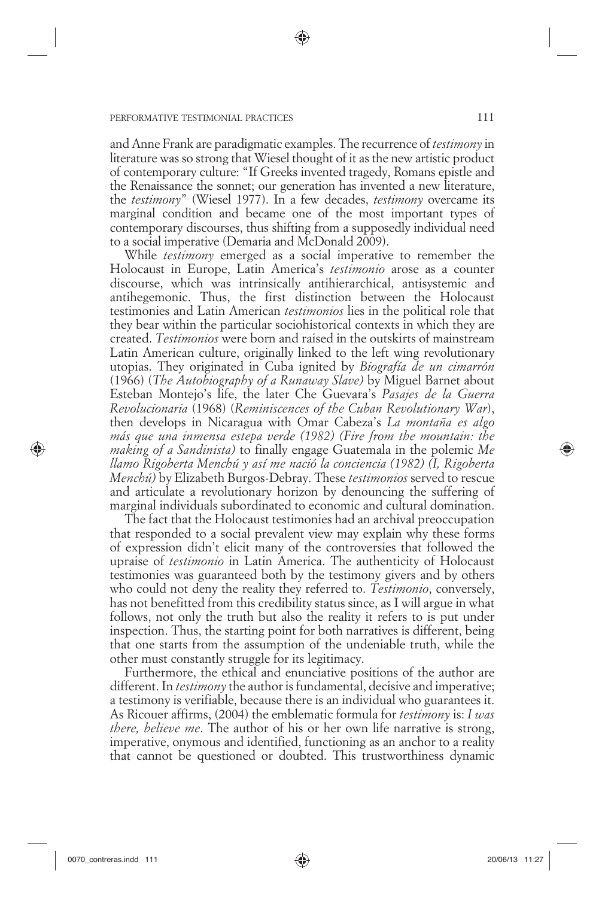and Anne Frank are paradigmatic examples. The recurrence of *testimony* in literature was so strong that Wiesel thought of it as the new artistic product of contemporary culture: "If Greeks invented tragedy, Romans epistle and the Renaissance the sonnet; our generation has invented a new literature, the *testimony*" (Wiesel 1977). In a few decades, *testimony* overcame its marginal condition and became one of the most important types of contemporary discourses, thus shifting from a supposedly individual need to a social imperative (Demaria and McDonald 2009).

◈

While *testimony* emerged as a social imperative to remember the Holocaust in Europe, Latin America's *testimonio* arose as a counter discourse, which was intrinsically antihierarchical, antisystemic and antihegemonic. Thus, the first distinction between the Holocaust testimonies and Latin American *testimonios* lies in the political role that they bear within the particular sociohistorical contexts in which they are created. *Testimonios* were born and raised in the outskirts of mainstream Latin American culture, originally linked to the left wing revolutionary utopias. They originated in Cuba ignited by *Biografía de un cimarrón* (1966) (*The Autobiography of a Runaway Slave)* by Miguel Barnet about Esteban Montejo's life, the later Che Guevara's *Pasajes de la Guerra Revolucionaria* (1968) (*Reminiscences of the Cuban Revolutionary War*), then develops in Nicaragua with Omar Cabeza's *La montaña es algo más que una inmensa estepa verde (1982) (Fire from the mountain: the making of a Sandinista)* to finally engage Guatemala in the polemic *Me llamo Rigoberta Menchú y así me nació la conciencia (1982) (I, Rigoberta Menchú)* by Elizabeth Burgos-Debray. These *testimonios* served to rescue and articulate a revolutionary horizon by denouncing the suffering of marginal individuals subordinated to economic and cultural domination.

The fact that the Holocaust testimonies had an archival preoccupation that responded to a social prevalent view may explain why these forms of expression didn't elicit many of the controversies that followed the upraise of *testimonio* in Latin America. The authenticity of Holocaust testimonies was guaranteed both by the testimony givers and by others who could not deny the reality they referred to. *Testimonio*, conversely, has not benefitted from this credibility status since, as I will argue in what follows, not only the truth but also the reality it refers to is put under inspection. Thus, the starting point for both narratives is different, being that one starts from the assumption of the undeniable truth, while the other must constantly struggle for its legitimacy.

Furthermore, the ethical and enunciative positions of the author are different. In *testimony* the author is fundamental, decisive and imperative; a testimony is verifiable, because there is an individual who guarantees it. As Ricouer affirms, (2004) the emblematic formula for *testimony* is: *I was there, believe me*. The author of his or her own life narrative is strong, imperative, onymous and identified, functioning as an anchor to a reality that cannot be questioned or doubted. This trustworthiness dynamic

⊕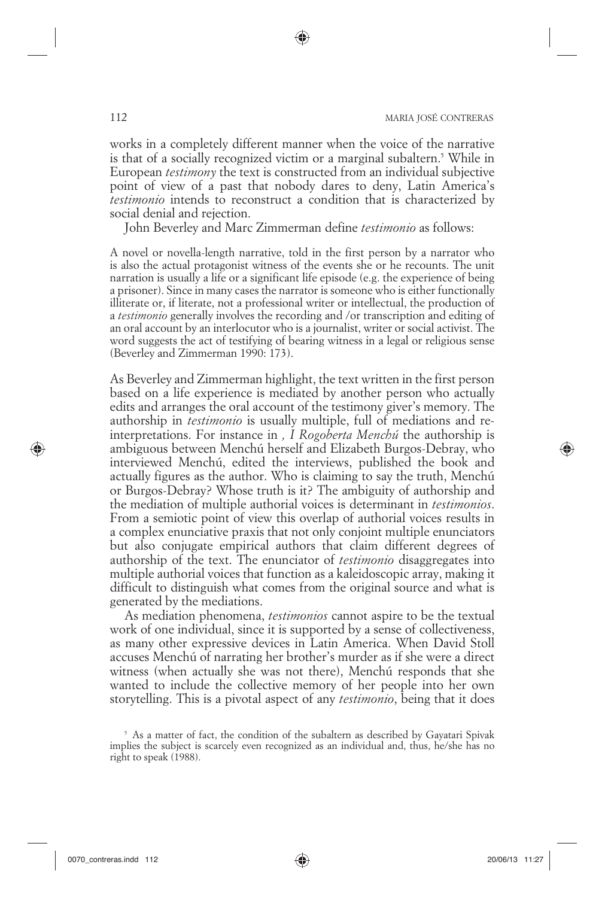works in a completely different manner when the voice of the narrative is that of a socially recognized victim or a marginal subaltern.<sup>5</sup> While in European *testimony* the text is constructed from an individual subjective point of view of a past that nobody dares to deny, Latin America's *testimonio* intends to reconstruct a condition that is characterized by social denial and rejection.

John Beverley and Marc Zimmerman define *testimonio* as follows:

A novel or novella-length narrative, told in the first person by a narrator who is also the actual protagonist witness of the events she or he recounts. The unit narration is usually a life or a significant life episode (e.g. the experience of being a prisoner). Since in many cases the narrator is someone who is either functionally illiterate or, if literate, not a professional writer or intellectual, the production of a *testimonio* generally involves the recording and /or transcription and editing of an oral account by an interlocutor who is a journalist, writer or social activist. The word suggests the act of testifying of bearing witness in a legal or religious sense (Beverley and Zimmerman 1990: 173).

As Beverley and Zimmerman highlight, the text written in the first person based on a life experience is mediated by another person who actually edits and arranges the oral account of the testimony giver's memory. The authorship in *testimonio* is usually multiple, full of mediations and reinterpretations. For instance in *, I Rogoberta Menchú* the authorship is ambiguous between Menchú herself and Elizabeth Burgos-Debray, who interviewed Menchú, edited the interviews, published the book and actually figures as the author. Who is claiming to say the truth, Menchú or Burgos-Debray? Whose truth is it? The ambiguity of authorship and the mediation of multiple authorial voices is determinant in *testimonios*. From a semiotic point of view this overlap of authorial voices results in a complex enunciative praxis that not only conjoint multiple enunciators but also conjugate empirical authors that claim different degrees of authorship of the text. The enunciator of *testimonio* disaggregates into multiple authorial voices that function as a kaleidoscopic array, making it difficult to distinguish what comes from the original source and what is generated by the mediations.

As mediation phenomena, *testimonios* cannot aspire to be the textual work of one individual, since it is supported by a sense of collectiveness, as many other expressive devices in Latin America. When David Stoll accuses Menchú of narrating her brother's murder as if she were a direct witness (when actually she was not there), Menchú responds that she wanted to include the collective memory of her people into her own storytelling. This is a pivotal aspect of any *testimonio*, being that it does

⊕



<sup>&</sup>lt;sup>5</sup> As a matter of fact, the condition of the subaltern as described by Gayatari Spivak implies the subject is scarcely even recognized as an individual and, thus, he/she has no right to speak (1988).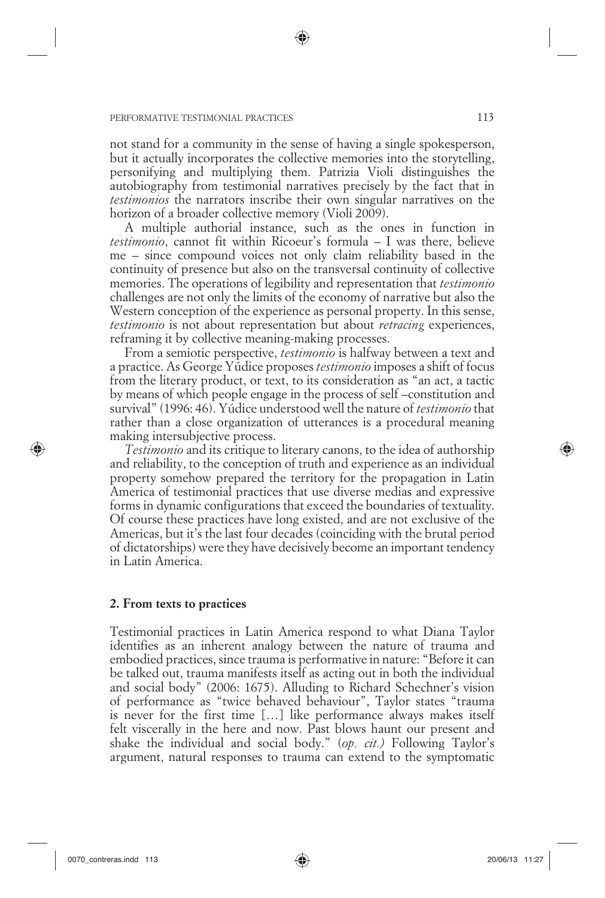not stand for a community in the sense of having a single spokesperson, but it actually incorporates the collective memories into the storytelling, personifying and multiplying them. Patrizia Violi distinguishes the autobiography from testimonial narratives precisely by the fact that in *testimonios* the narrators inscribe their own singular narratives on the horizon of a broader collective memory (Violi 2009).

A multiple authorial instance, such as the ones in function in *testimonio*, cannot fit within Ricoeur's formula – I was there, believe me – since compound voices not only claim reliability based in the continuity of presence but also on the transversal continuity of collective memories. The operations of legibility and representation that *testimonio* challenges are not only the limits of the economy of narrative but also the Western conception of the experience as personal property. In this sense, *testimonio* is not about representation but about *retracing* experiences, reframing it by collective meaning-making processes.

From a semiotic perspective, *testimonio* is halfway between a text and a practice. As George Yúdice proposes *testimonio* imposes a shift of focus from the literary product, or text, to its consideration as "an act, a tactic by means of which people engage in the process of self –constitution and survival" (1996: 46). Yúdice understood well the nature of *testimonio* that rather than a close organization of utterances is a procedural meaning making intersubjective process.

*Testimonio* and its critique to literary canons, to the idea of authorship and reliability, to the conception of truth and experience as an individual property somehow prepared the territory for the propagation in Latin America of testimonial practices that use diverse medias and expressive forms in dynamic configurations that exceed the boundaries of textuality. Of course these practices have long existed, and are not exclusive of the Americas, but it's the last four decades (coinciding with the brutal period of dictatorships) were they have decisively become an important tendency in Latin America.

# **2. From texts to practices**

Testimonial practices in Latin America respond to what Diana Taylor identifies as an inherent analogy between the nature of trauma and embodied practices, since trauma is performative in nature: "Before it can be talked out, trauma manifests itself as acting out in both the individual and social body" (2006: 1675). Alluding to Richard Schechner's vision of performance as "twice behaved behaviour", Taylor states "trauma is never for the first time […] like performance always makes itself felt viscerally in the here and now. Past blows haunt our present and shake the individual and social body." (*op. cit.)* Following Taylor's argument, natural responses to trauma can extend to the symptomatic

⊕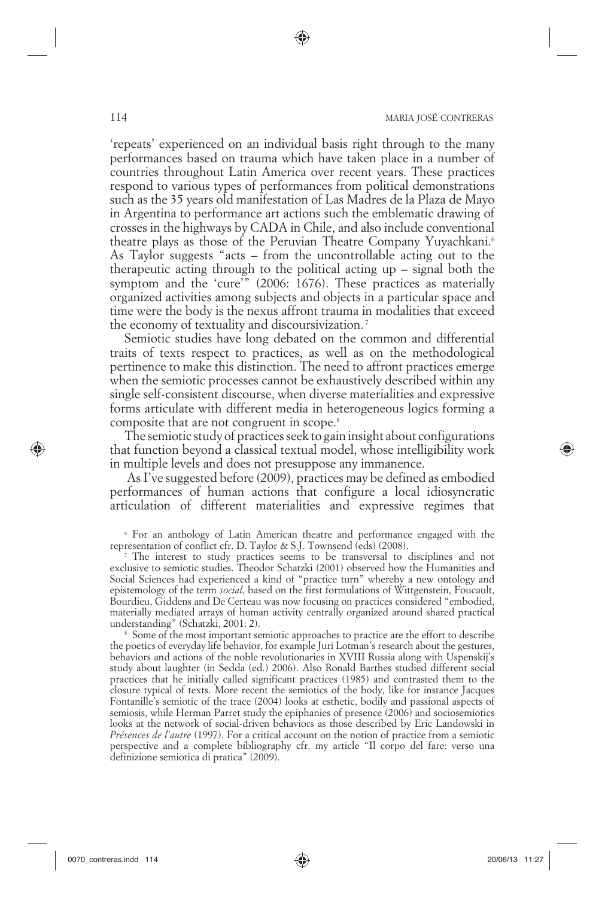'repeats' experienced on an individual basis right through to the many performances based on trauma which have taken place in a number of countries throughout Latin America over recent years. These practices respond to various types of performances from political demonstrations such as the 35 years old manifestation of Las Madres de la Plaza de Mayo in Argentina to performance art actions such the emblematic drawing of crosses in the highways by CADA in Chile, and also include conventional theatre plays as those of the Peruvian Theatre Company Yuyachkani.<sup>6</sup> As Taylor suggests "acts – from the uncontrollable acting out to the therapeutic acting through to the political acting up – signal both the symptom and the 'cure'" (2006: 1676). These practices as materially organized activities among subjects and objects in a particular space and time were the body is the nexus affront trauma in modalities that exceed the economy of textuality and discoursivization. 7

Semiotic studies have long debated on the common and differential traits of texts respect to practices, as well as on the methodological pertinence to make this distinction. The need to affront practices emerge when the semiotic processes cannot be exhaustively described within any single self-consistent discourse, when diverse materialities and expressive forms articulate with different media in heterogeneous logics forming a composite that are not congruent in scope.8

The semiotic study of practices seek to gain insight about configurations that function beyond a classical textual model, whose intelligibility work in multiple levels and does not presuppose any immanence.

 As I've suggested before (2009), practices may be defined as embodied performances of human actions that configure a local idiosyncratic articulation of different materialities and expressive regimes that

6 For an anthology of Latin American theatre and performance engaged with the representation of conflict cfr. D. Taylor & S.J. Townsend (eds) (2008).

 The interest to study practices seems to be transversal to disciplines and not exclusive to semiotic studies. Theodor Schatzki (2001) observed how the Humanities and Social Sciences had experienced a kind of "practice turn" whereby a new ontology and epistemology of the term *social*, based on the first formulations of Wittgenstein, Foucault, Bourdieu, Giddens and De Certeau was now focusing on practices considered "embodied, materially mediated arrays of human activity centrally organized around shared practical understanding" (Schatzki, 2001: 2).

<sup>8</sup> Some of the most important semiotic approaches to practice are the effort to describe the poetics of everyday life behavior, for example Juri Lotman's research about the gestures, behaviors and actions of the noble revolutionaries in XVIII Russia along with Uspenskij's study about laughter (in Sedda (ed.) 2006). Also Ronald Barthes studied different social practices that he initially called significant practices (1985) and contrasted them to the closure typical of texts. More recent the semiotics of the body, like for instance Jacques Fontanille's semiotic of the trace (2004) looks at esthetic, bodily and passional aspects of semiosis, while Herman Parret study the epiphanies of presence (2006) and sociosemiotics looks at the network of social-driven behaviors as those described by Eric Landowski in *Présences de l'autre* (1997). For a critical account on the notion of practice from a semiotic perspective and a complete bibliography cfr. my article "Il corpo del fare: verso una definizione semiotica di pratica" (2009).

⊕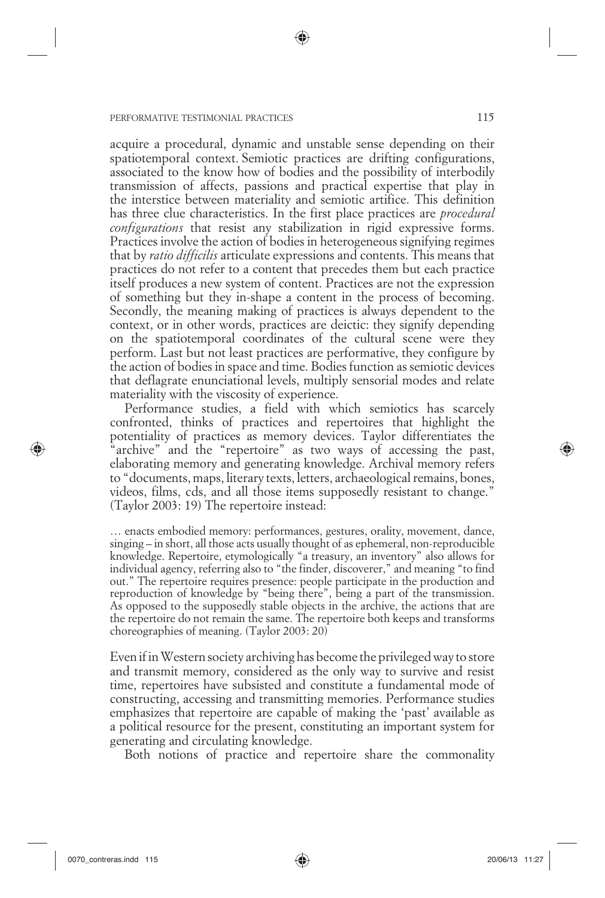acquire a procedural, dynamic and unstable sense depending on their spatiotemporal context. Semiotic practices are drifting configurations, associated to the know how of bodies and the possibility of interbodily transmission of affects, passions and practical expertise that play in the interstice between materiality and semiotic artifice. This definition has three clue characteristics. In the first place practices are *procedural configurations* that resist any stabilization in rigid expressive forms. Practices involve the action of bodies in heterogeneous signifying regimes that by *ratio difficilis* articulate expressions and contents. This means that practices do not refer to a content that precedes them but each practice itself produces a new system of content. Practices are not the expression of something but they in-shape a content in the process of becoming. Secondly, the meaning making of practices is always dependent to the context, or in other words, practices are deictic: they signify depending on the spatiotemporal coordinates of the cultural scene were they perform. Last but not least practices are performative, they configure by the action of bodies in space and time. Bodies function as semiotic devices that deflagrate enunciational levels, multiply sensorial modes and relate materiality with the viscosity of experience.

Performance studies, a field with which semiotics has scarcely confronted, thinks of practices and repertoires that highlight the potentiality of practices as memory devices. Taylor differentiates the "archive" and the "repertoire" as two ways of accessing the past, elaborating memory and generating knowledge. Archival memory refers to "documents, maps, literary texts, letters, archaeological remains, bones, videos, films, cds, and all those items supposedly resistant to change." (Taylor 2003: 19) The repertoire instead:

… enacts embodied memory: performances, gestures, orality, movement, dance, singing – in short, all those acts usually thought of as ephemeral, non-reproducible knowledge. Repertoire, etymologically "a treasury, an inventory" also allows for individual agency, referring also to "the finder, discoverer," and meaning "to find out." The repertoire requires presence: people participate in the production and reproduction of knowledge by "being there", being a part of the transmission. As opposed to the supposedly stable objects in the archive, the actions that are the repertoire do not remain the same. The repertoire both keeps and transforms choreographies of meaning. (Taylor 2003: 20)

Even if in Western society archiving has become the privileged way to store and transmit memory, considered as the only way to survive and resist time, repertoires have subsisted and constitute a fundamental mode of constructing, accessing and transmitting memories. Performance studies emphasizes that repertoire are capable of making the 'past' available as a political resource for the present, constituting an important system for generating and circulating knowledge.

Both notions of practice and repertoire share the commonality

⊕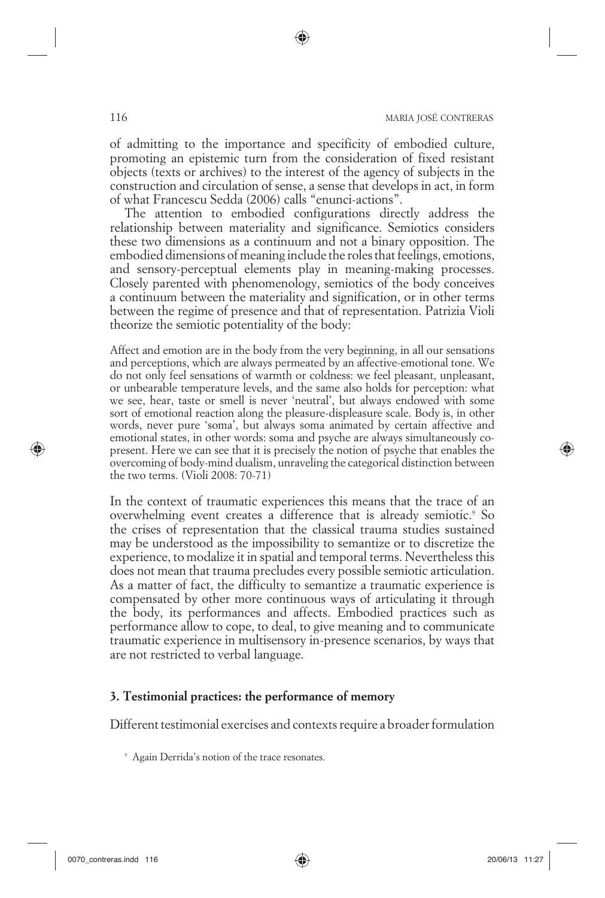of admitting to the importance and specificity of embodied culture, promoting an epistemic turn from the consideration of fixed resistant objects (texts or archives) to the interest of the agency of subjects in the construction and circulation of sense, a sense that develops in act, in form of what Francescu Sedda (2006) calls "enunci-actions".

The attention to embodied configurations directly address the relationship between materiality and significance. Semiotics considers these two dimensions as a continuum and not a binary opposition. The embodied dimensions of meaning include the roles that feelings, emotions, and sensory-perceptual elements play in meaning-making processes. Closely parented with phenomenology, semiotics of the body conceives a continuum between the materiality and signification, or in other terms between the regime of presence and that of representation. Patrizia Violi theorize the semiotic potentiality of the body:

Affect and emotion are in the body from the very beginning, in all our sensations and perceptions, which are always permeated by an affective-emotional tone. We do not only feel sensations of warmth or coldness: we feel pleasant, unpleasant, or unbearable temperature levels, and the same also holds for perception: what we see, hear, taste or smell is never 'neutral', but always endowed with some sort of emotional reaction along the pleasure-displeasure scale. Body is, in other words, never pure 'soma', but always soma animated by certain affective and emotional states, in other words: soma and psyche are always simultaneously copresent. Here we can see that it is precisely the notion of psyche that enables the overcoming of body-mind dualism, unraveling the categorical distinction between the two terms. (Violi 2008: 70-71)

In the context of traumatic experiences this means that the trace of an overwhelming event creates a difference that is already semiotic.<sup>9</sup> So the crises of representation that the classical trauma studies sustained may be understood as the impossibility to semantize or to discretize the experience, to modalize it in spatial and temporal terms. Nevertheless this does not mean that trauma precludes every possible semiotic articulation. As a matter of fact, the difficulty to semantize a traumatic experience is compensated by other more continuous ways of articulating it through the body, its performances and affects. Embodied practices such as performance allow to cope, to deal, to give meaning and to communicate traumatic experience in multisensory in-presence scenarios, by ways that are not restricted to verbal language.

### **3. Testimonial practices: the performance of memory**

Different testimonial exercises and contexts require a broader formulation

9 Again Derrida's notion of the trace resonates.

⊕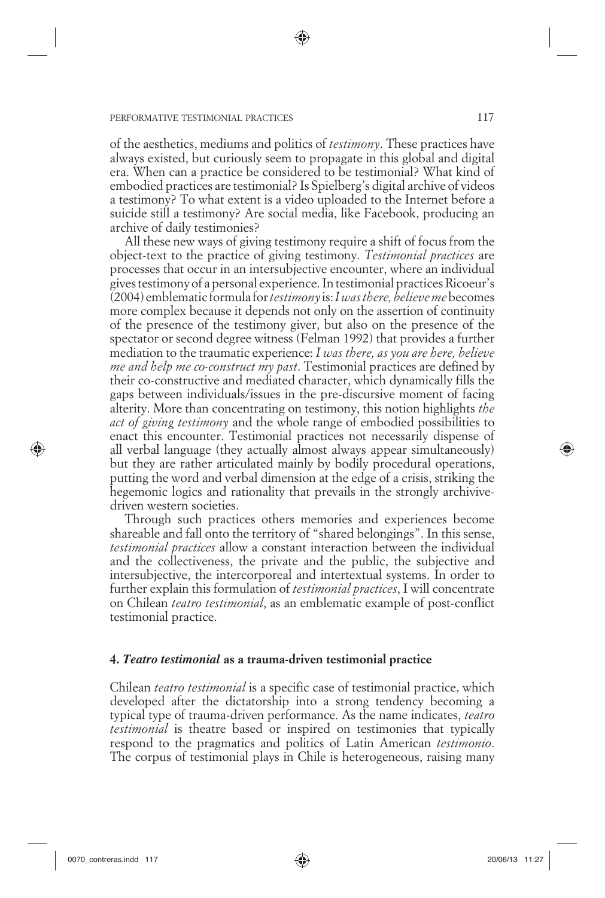of the aesthetics, mediums and politics of *testimony*. These practices have always existed, but curiously seem to propagate in this global and digital era. When can a practice be considered to be testimonial? What kind of embodied practices are testimonial? Is Spielberg's digital archive of videos a testimony? To what extent is a video uploaded to the Internet before a suicide still a testimony? Are social media, like Facebook, producing an archive of daily testimonies?

⊕

All these new ways of giving testimony require a shift of focus from the object-text to the practice of giving testimony. *Testimonial practices* are processes that occur in an intersubjective encounter, where an individual gives testimony of a personal experience. In testimonial practices Ricoeur's (2004) emblematic formula for *testimony* is: *I was there, believe me* becomes more complex because it depends not only on the assertion of continuity of the presence of the testimony giver, but also on the presence of the spectator or second degree witness (Felman 1992) that provides a further mediation to the traumatic experience: *I was there, as you are here, believe me and help me co-construct my past*. Testimonial practices are defined by their co-constructive and mediated character, which dynamically fills the gaps between individuals/issues in the pre-discursive moment of facing alterity. More than concentrating on testimony, this notion highlights *the act of giving testimony* and the whole range of embodied possibilities to enact this encounter. Testimonial practices not necessarily dispense of all verbal language (they actually almost always appear simultaneously) but they are rather articulated mainly by bodily procedural operations, putting the word and verbal dimension at the edge of a crisis, striking the hegemonic logics and rationality that prevails in the strongly archivivedriven western societies.

Through such practices others memories and experiences become shareable and fall onto the territory of "shared belongings". In this sense, *testimonial practices* allow a constant interaction between the individual and the collectiveness, the private and the public, the subjective and intersubjective, the intercorporeal and intertextual systems. In order to further explain this formulation of *testimonial practices*, I will concentrate on Chilean *teatro testimonial*, as an emblematic example of post-conflict testimonial practice.

# **4.** *Teatro testimonial* **as a trauma-driven testimonial practice**

Chilean *teatro testimonial* is a specific case of testimonial practice, which developed after the dictatorship into a strong tendency becoming a typical type of trauma-driven performance. As the name indicates, *teatro testimonial* is theatre based or inspired on testimonies that typically respond to the pragmatics and politics of Latin American *testimonio*. The corpus of testimonial plays in Chile is heterogeneous, raising many

⊕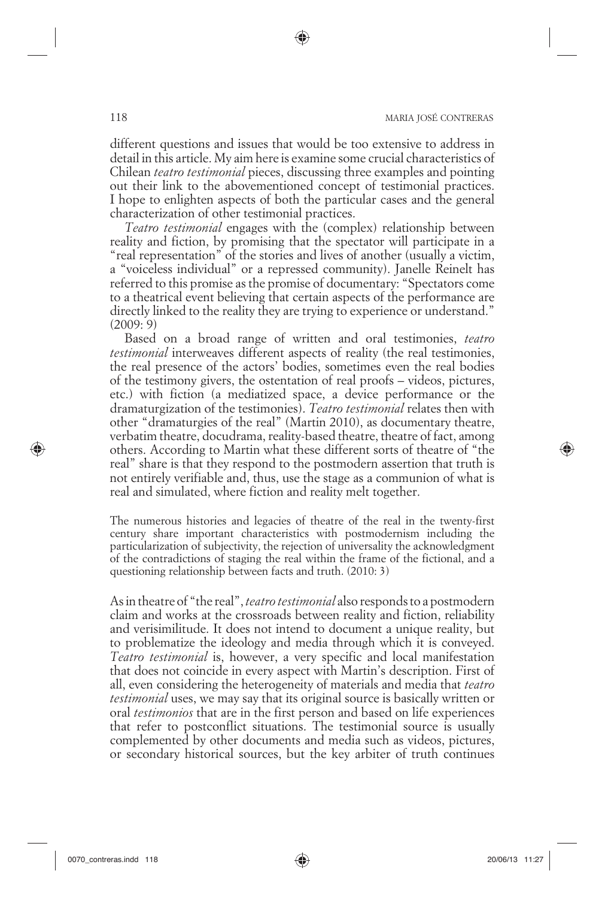different questions and issues that would be too extensive to address in detail in this article. My aim here is examine some crucial characteristics of Chilean *teatro testimonial* pieces, discussing three examples and pointing out their link to the abovementioned concept of testimonial practices. I hope to enlighten aspects of both the particular cases and the general characterization of other testimonial practices.

*Teatro testimonial* engages with the (complex) relationship between reality and fiction, by promising that the spectator will participate in a "real representation" of the stories and lives of another (usually a victim, a "voiceless individual" or a repressed community). Janelle Reinelt has referred to this promise as the promise of documentary: "Spectators come to a theatrical event believing that certain aspects of the performance are directly linked to the reality they are trying to experience or understand." (2009: 9)

Based on a broad range of written and oral testimonies, *teatro testimonial* interweaves different aspects of reality (the real testimonies, the real presence of the actors' bodies, sometimes even the real bodies of the testimony givers, the ostentation of real proofs – videos, pictures, etc.) with fiction (a mediatized space, a device performance or the dramaturgization of the testimonies). *Teatro testimonial* relates then with other "dramaturgies of the real" (Martin 2010), as documentary theatre, verbatim theatre, docudrama, reality-based theatre, theatre of fact, among others. According to Martin what these different sorts of theatre of "the real" share is that they respond to the postmodern assertion that truth is not entirely verifiable and, thus, use the stage as a communion of what is real and simulated, where fiction and reality melt together.

The numerous histories and legacies of theatre of the real in the twenty-first century share important characteristics with postmodernism including the particularization of subjectivity, the rejection of universality the acknowledgment of the contradictions of staging the real within the frame of the fictional, and a questioning relationship between facts and truth. (2010: 3)

As in theatre of "the real", *teatro testimonial* also responds to a postmodern claim and works at the crossroads between reality and fiction, reliability and verisimilitude. It does not intend to document a unique reality, but to problematize the ideology and media through which it is conveyed. *Teatro testimonial* is, however, a very specific and local manifestation that does not coincide in every aspect with Martin's description. First of all, even considering the heterogeneity of materials and media that *teatro testimonial* uses, we may say that its original source is basically written or oral *testimonios* that are in the first person and based on life experiences that refer to postconflict situations. The testimonial source is usually complemented by other documents and media such as videos, pictures, or secondary historical sources, but the key arbiter of truth continues

⊕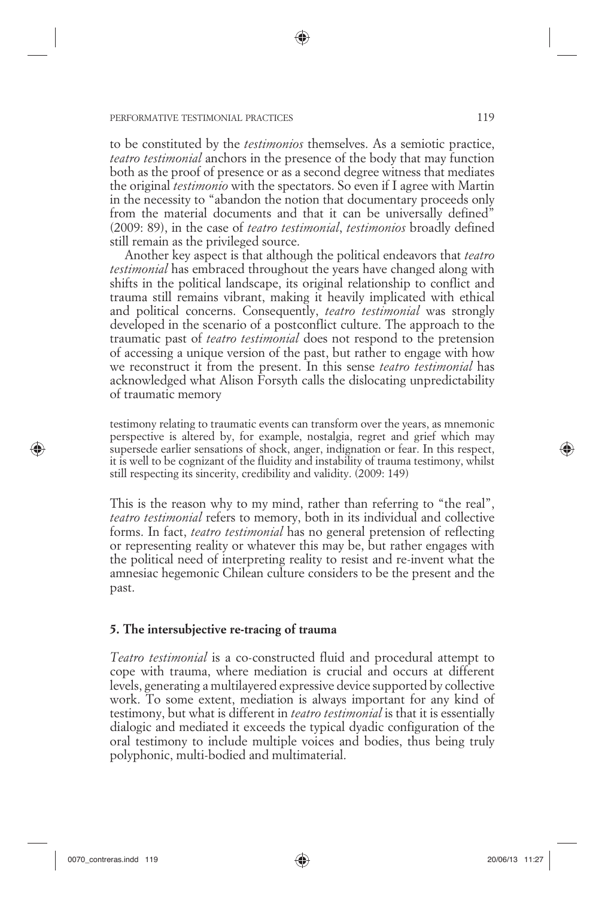to be constituted by the *testimonios* themselves. As a semiotic practice, *teatro testimonial* anchors in the presence of the body that may function both as the proof of presence or as a second degree witness that mediates the original *testimonio* with the spectators. So even if I agree with Martin in the necessity to "abandon the notion that documentary proceeds only from the material documents and that it can be universally defined" (2009: 89), in the case of *teatro testimonial*, *testimonios* broadly defined still remain as the privileged source.

Another key aspect is that although the political endeavors that *teatro testimonial* has embraced throughout the years have changed along with shifts in the political landscape, its original relationship to conflict and trauma still remains vibrant, making it heavily implicated with ethical and political concerns. Consequently, *teatro testimonial* was strongly developed in the scenario of a postconflict culture. The approach to the traumatic past of *teatro testimonial* does not respond to the pretension of accessing a unique version of the past, but rather to engage with how we reconstruct it from the present. In this sense *teatro testimonial* has acknowledged what Alison Forsyth calls the dislocating unpredictability of traumatic memory

testimony relating to traumatic events can transform over the years, as mnemonic perspective is altered by, for example, nostalgia, regret and grief which may supersede earlier sensations of shock, anger, indignation or fear. In this respect, it is well to be cognizant of the fluidity and instability of trauma testimony, whilst still respecting its sincerity, credibility and validity. (2009: 149)

This is the reason why to my mind, rather than referring to "the real", *teatro testimonial* refers to memory, both in its individual and collective forms. In fact, *teatro testimonial* has no general pretension of reflecting or representing reality or whatever this may be, but rather engages with the political need of interpreting reality to resist and re-invent what the amnesiac hegemonic Chilean culture considers to be the present and the past.

# **5. The intersubjective re-tracing of trauma**

*Teatro testimonial* is a co-constructed fluid and procedural attempt to cope with trauma, where mediation is crucial and occurs at different levels, generating a multilayered expressive device supported by collective work. To some extent, mediation is always important for any kind of testimony, but what is different in *teatro testimonial* is that it is essentially dialogic and mediated it exceeds the typical dyadic configuration of the oral testimony to include multiple voices and bodies, thus being truly polyphonic, multi-bodied and multimaterial.

⊕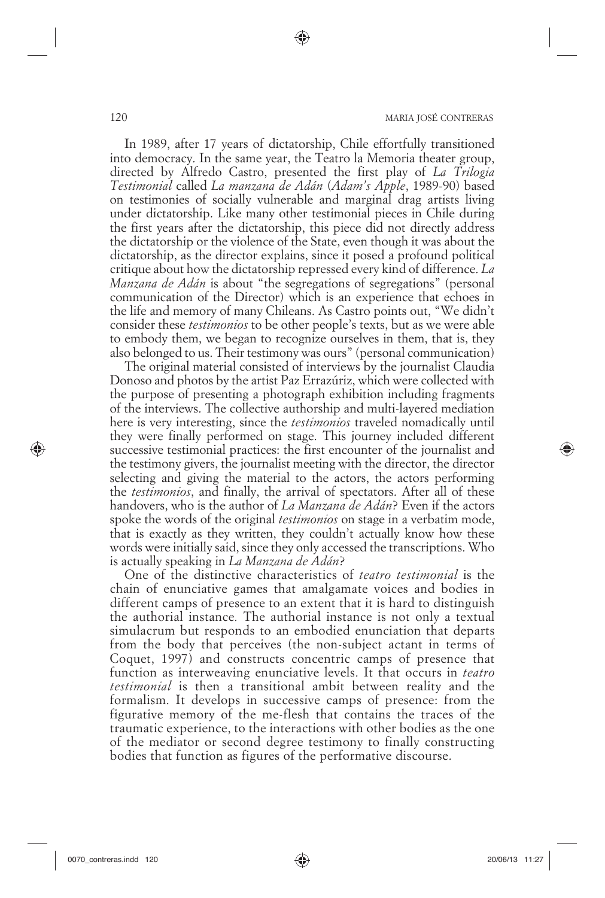In 1989, after 17 years of dictatorship, Chile effortfully transitioned into democracy. In the same year, the Teatro la Memoria theater group, directed by Alfredo Castro, presented the first play of *La Trilogia Testimonial* called *La manzana de Adán* (*Adam's Apple*, 1989-90) based on testimonies of socially vulnerable and marginal drag artists living under dictatorship. Like many other testimonial pieces in Chile during the first years after the dictatorship, this piece did not directly address the dictatorship or the violence of the State, even though it was about the dictatorship, as the director explains, since it posed a profound political critique about how the dictatorship repressed every kind of difference. *La Manzana de Adán* is about "the segregations of segregations" (personal communication of the Director) which is an experience that echoes in the life and memory of many Chileans. As Castro points out, "We didn't consider these *testimonios* to be other people's texts, but as we were able to embody them, we began to recognize ourselves in them, that is, they also belonged to us. Their testimony was ours" (personal communication)

(●

The original material consisted of interviews by the journalist Claudia Donoso and photos by the artist Paz Errazúriz, which were collected with the purpose of presenting a photograph exhibition including fragments of the interviews. The collective authorship and multi-layered mediation here is very interesting, since the *testimonios* traveled nomadically until they were finally performed on stage. This journey included different successive testimonial practices: the first encounter of the journalist and the testimony givers, the journalist meeting with the director, the director selecting and giving the material to the actors, the actors performing the *testimonios*, and finally, the arrival of spectators. After all of these handovers, who is the author of *La Manzana de Adán*? Even if the actors spoke the words of the original *testimonios* on stage in a verbatim mode, that is exactly as they written, they couldn't actually know how these words were initially said, since they only accessed the transcriptions. Who is actually speaking in *La Manzana de Adán*?

One of the distinctive characteristics of *teatro testimonial* is the chain of enunciative games that amalgamate voices and bodies in different camps of presence to an extent that it is hard to distinguish the authorial instance*.* The authorial instance is not only a textual simulacrum but responds to an embodied enunciation that departs from the body that perceives (the non-subject actant in terms of Coquet, 1997) and constructs concentric camps of presence that function as interweaving enunciative levels. It that occurs in *teatro testimonial* is then a transitional ambit between reality and the formalism. It develops in successive camps of presence: from the figurative memory of the me-flesh that contains the traces of the traumatic experience, to the interactions with other bodies as the one of the mediator or second degree testimony to finally constructing bodies that function as figures of the performative discourse.

⊕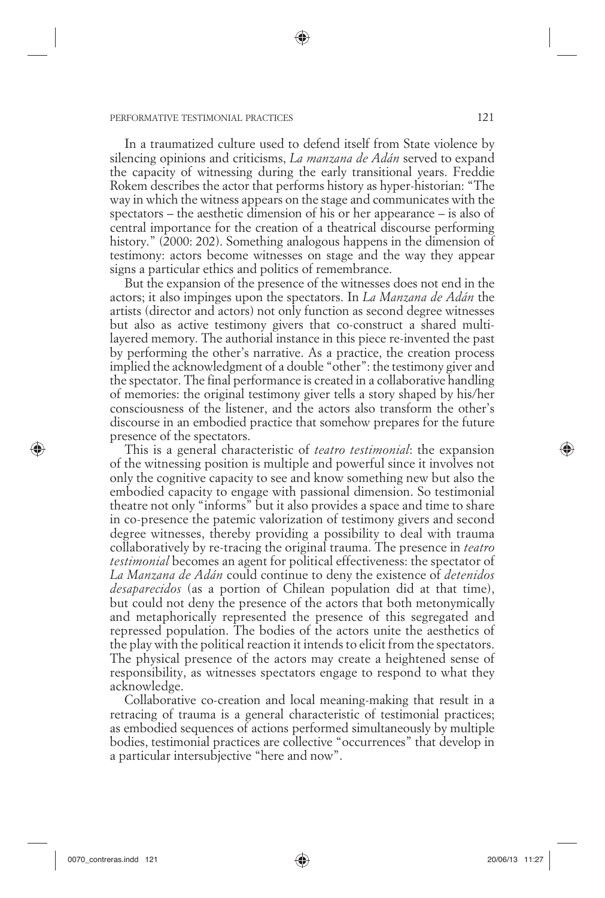In a traumatized culture used to defend itself from State violence by silencing opinions and criticisms, *La manzana de Adán* served to expand the capacity of witnessing during the early transitional years. Freddie Rokem describes the actor that performs history as hyper-historian: "The way in which the witness appears on the stage and communicates with the spectators – the aesthetic dimension of his or her appearance – is also of central importance for the creation of a theatrical discourse performing history." (2000: 202). Something analogous happens in the dimension of testimony: actors become witnesses on stage and the way they appear signs a particular ethics and politics of remembrance.

(●

But the expansion of the presence of the witnesses does not end in the actors; it also impinges upon the spectators. In *La Manzana de Adán* the artists (director and actors) not only function as second degree witnesses but also as active testimony givers that co-construct a shared multilayered memory. The authorial instance in this piece re-invented the past by performing the other's narrative. As a practice, the creation process implied the acknowledgment of a double "other": the testimony giver and the spectator. The final performance is created in a collaborative handling of memories: the original testimony giver tells a story shaped by his/her consciousness of the listener, and the actors also transform the other's discourse in an embodied practice that somehow prepares for the future presence of the spectators.

This is a general characteristic of *teatro testimonial*: the expansion of the witnessing position is multiple and powerful since it involves not only the cognitive capacity to see and know something new but also the embodied capacity to engage with passional dimension. So testimonial theatre not only "informs" but it also provides a space and time to share in co-presence the patemic valorization of testimony givers and second degree witnesses, thereby providing a possibility to deal with trauma collaboratively by re-tracing the original trauma. The presence in *teatro testimonial* becomes an agent for political effectiveness: the spectator of *La Manzana de Adán* could continue to deny the existence of *detenidos desaparecidos* (as a portion of Chilean population did at that time), but could not deny the presence of the actors that both metonymically and metaphorically represented the presence of this segregated and repressed population. The bodies of the actors unite the aesthetics of the play with the political reaction it intends to elicit from the spectators. The physical presence of the actors may create a heightened sense of responsibility, as witnesses spectators engage to respond to what they acknowledge.

Collaborative co-creation and local meaning-making that result in a retracing of trauma is a general characteristic of testimonial practices; as embodied sequences of actions performed simultaneously by multiple bodies, testimonial practices are collective "occurrences" that develop in a particular intersubjective "here and now".

⊕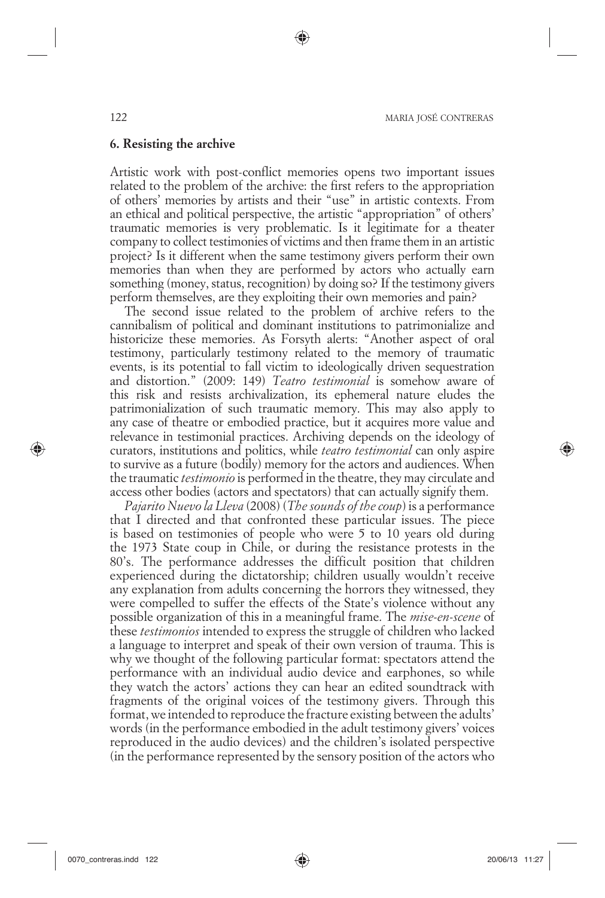#### **6. Resisting the archive**

Artistic work with post-conflict memories opens two important issues related to the problem of the archive: the first refers to the appropriation of others' memories by artists and their "use" in artistic contexts. From an ethical and political perspective, the artistic "appropriation" of others' traumatic memories is very problematic. Is it legitimate for a theater company to collect testimonies of victims and then frame them in an artistic project? Is it different when the same testimony givers perform their own memories than when they are performed by actors who actually earn something (money, status, recognition) by doing so? If the testimony givers perform themselves, are they exploiting their own memories and pain?

◈

The second issue related to the problem of archive refers to the cannibalism of political and dominant institutions to patrimonialize and historicize these memories. As Forsyth alerts: "Another aspect of oral testimony, particularly testimony related to the memory of traumatic events, is its potential to fall victim to ideologically driven sequestration and distortion." (2009: 149) *Teatro testimonial* is somehow aware of this risk and resists archivalization, its ephemeral nature eludes the patrimonialization of such traumatic memory. This may also apply to any case of theatre or embodied practice, but it acquires more value and relevance in testimonial practices. Archiving depends on the ideology of curators, institutions and politics, while *teatro testimonial* can only aspire to survive as a future (bodily) memory for the actors and audiences. When the traumatic *testimonio* is performed in the theatre, they may circulate and access other bodies (actors and spectators) that can actually signify them.

*Pajarito Nuevo la Lleva* (2008) (*The sounds of the coup*) is a performance that I directed and that confronted these particular issues. The piece is based on testimonies of people who were 5 to 10 years old during the 1973 State coup in Chile, or during the resistance protests in the 80's. The performance addresses the difficult position that children experienced during the dictatorship; children usually wouldn't receive any explanation from adults concerning the horrors they witnessed, they were compelled to suffer the effects of the State's violence without any possible organization of this in a meaningful frame. The *mise-en-scene* of these *testimonios* intended to express the struggle of children who lacked a language to interpret and speak of their own version of trauma. This is why we thought of the following particular format: spectators attend the performance with an individual audio device and earphones, so while they watch the actors' actions they can hear an edited soundtrack with fragments of the original voices of the testimony givers. Through this format, we intended to reproduce the fracture existing between the adults' words (in the performance embodied in the adult testimony givers' voices reproduced in the audio devices) and the children's isolated perspective (in the performance represented by the sensory position of the actors who

⊕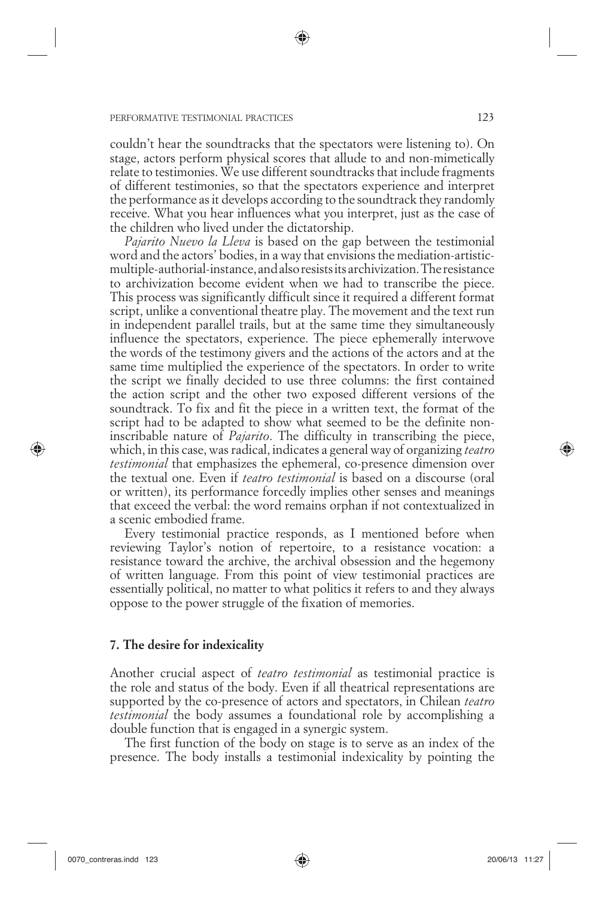couldn't hear the soundtracks that the spectators were listening to). On stage, actors perform physical scores that allude to and non-mimetically relate to testimonies. We use different soundtracks that include fragments of different testimonies, so that the spectators experience and interpret the performance as it develops according to the soundtrack they randomly receive. What you hear influences what you interpret, just as the case of the children who lived under the dictatorship.

◈

*Pajarito Nuevo la Lleva* is based on the gap between the testimonial word and the actors' bodies, in a way that envisions the mediation-artisticmultiple-authorial-instance, and also resists its archivization. The resistance to archivization become evident when we had to transcribe the piece. This process was significantly difficult since it required a different format script, unlike a conventional theatre play. The movement and the text run in independent parallel trails, but at the same time they simultaneously influence the spectators, experience. The piece ephemerally interwove the words of the testimony givers and the actions of the actors and at the same time multiplied the experience of the spectators. In order to write the script we finally decided to use three columns: the first contained the action script and the other two exposed different versions of the soundtrack. To fix and fit the piece in a written text, the format of the script had to be adapted to show what seemed to be the definite noninscribable nature of *Pajarito*. The difficulty in transcribing the piece, which, in this case, was radical, indicates a general way of organizing *teatro testimonial* that emphasizes the ephemeral, co-presence dimension over the textual one. Even if *teatro testimonial* is based on a discourse (oral or written), its performance forcedly implies other senses and meanings that exceed the verbal: the word remains orphan if not contextualized in a scenic embodied frame.

Every testimonial practice responds, as I mentioned before when reviewing Taylor's notion of repertoire, to a resistance vocation: a resistance toward the archive, the archival obsession and the hegemony of written language. From this point of view testimonial practices are essentially political, no matter to what politics it refers to and they always oppose to the power struggle of the fixation of memories.

# **7. The desire for indexicality**

Another crucial aspect of *teatro testimonial* as testimonial practice is the role and status of the body. Even if all theatrical representations are supported by the co-presence of actors and spectators, in Chilean *teatro testimonial* the body assumes a foundational role by accomplishing a double function that is engaged in a synergic system.

The first function of the body on stage is to serve as an index of the presence. The body installs a testimonial indexicality by pointing the

⊕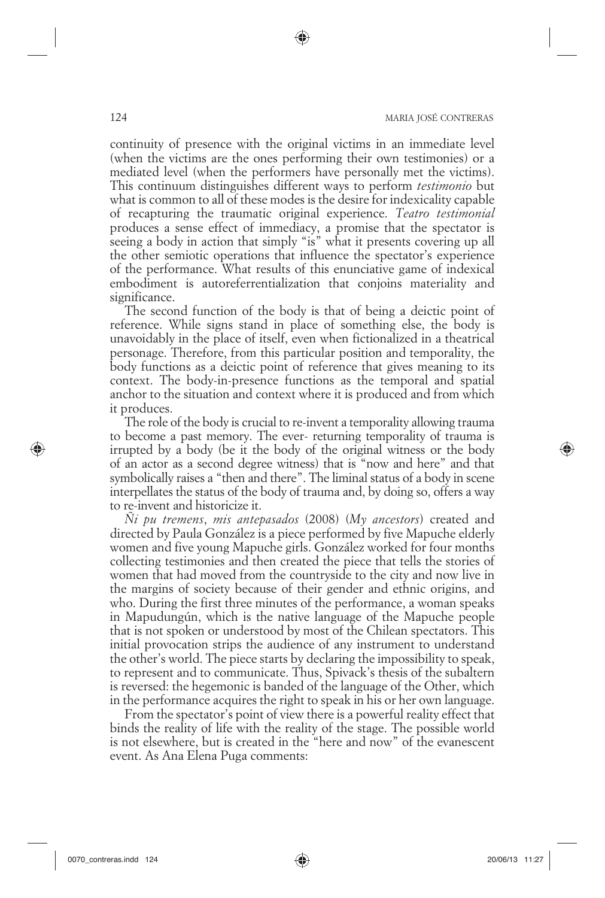continuity of presence with the original victims in an immediate level (when the victims are the ones performing their own testimonies) or a mediated level (when the performers have personally met the victims). This continuum distinguishes different ways to perform *testimonio* but what is common to all of these modes is the desire for indexicality capable of recapturing the traumatic original experience. *Teatro testimonial* produces a sense effect of immediacy, a promise that the spectator is seeing a body in action that simply "is" what it presents covering up all the other semiotic operations that influence the spectator's experience of the performance. What results of this enunciative game of indexical embodiment is autoreferrentialization that conjoins materiality and significance.

The second function of the body is that of being a deictic point of reference. While signs stand in place of something else, the body is unavoidably in the place of itself, even when fictionalized in a theatrical personage. Therefore, from this particular position and temporality, the body functions as a deictic point of reference that gives meaning to its context. The body-in-presence functions as the temporal and spatial anchor to the situation and context where it is produced and from which it produces.

The role of the body is crucial to re-invent a temporality allowing trauma to become a past memory. The ever- returning temporality of trauma is irrupted by a body (be it the body of the original witness or the body of an actor as a second degree witness) that is "now and here" and that symbolically raises a "then and there". The liminal status of a body in scene interpellates the status of the body of trauma and, by doing so, offers a way to re-invent and historicize it.

*Ñi pu tremens*, *mis antepasados* (2008) (*My ancestors*) created and directed by Paula González is a piece performed by five Mapuche elderly women and five young Mapuche girls. González worked for four months collecting testimonies and then created the piece that tells the stories of women that had moved from the countryside to the city and now live in the margins of society because of their gender and ethnic origins, and who. During the first three minutes of the performance, a woman speaks in Mapudungún, which is the native language of the Mapuche people that is not spoken or understood by most of the Chilean spectators. This initial provocation strips the audience of any instrument to understand the other's world. The piece starts by declaring the impossibility to speak, to represent and to communicate. Thus, Spivack's thesis of the subaltern is reversed: the hegemonic is banded of the language of the Other, which in the performance acquires the right to speak in his or her own language.

From the spectator's point of view there is a powerful reality effect that binds the reality of life with the reality of the stage. The possible world is not elsewhere, but is created in the "here and now" of the evanescent event. As Ana Elena Puga comments:

⊕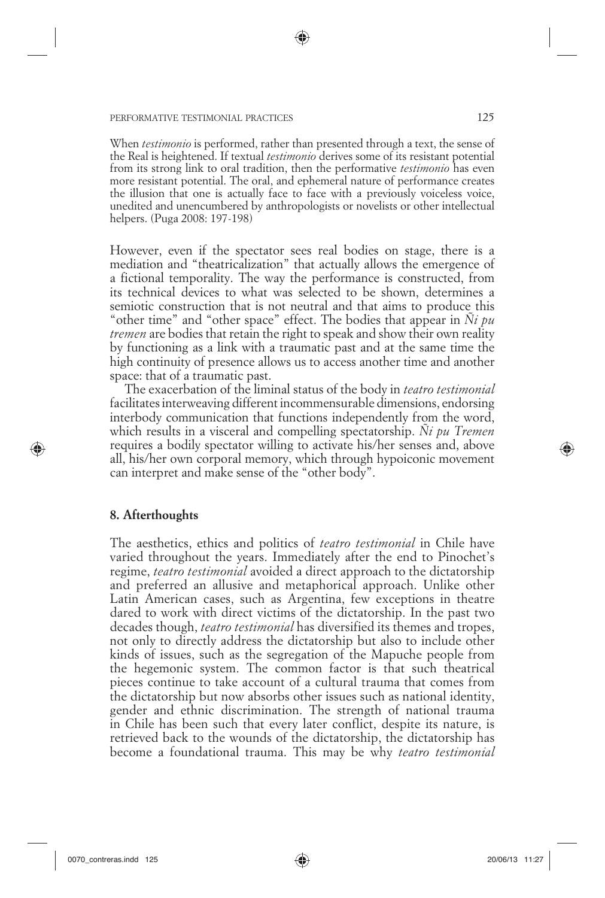When *testimonio* is performed, rather than presented through a text, the sense of the Real is heightened. If textual *testimonio* derives some of its resistant potential from its strong link to oral tradition, then the performative *testimonio* has even more resistant potential. The oral, and ephemeral nature of performance creates the illusion that one is actually face to face with a previously voiceless voice, unedited and unencumbered by anthropologists or novelists or other intellectual helpers. (Puga 2008: 197-198)

⊕

However, even if the spectator sees real bodies on stage, there is a mediation and "theatricalization" that actually allows the emergence of a fictional temporality. The way the performance is constructed, from its technical devices to what was selected to be shown, determines a semiotic construction that is not neutral and that aims to produce this "other time" and "other space" effect. The bodies that appear in *Ñi pu tremen* are bodies that retain the right to speak and show their own reality by functioning as a link with a traumatic past and at the same time the high continuity of presence allows us to access another time and another space: that of a traumatic past.

The exacerbation of the liminal status of the body in *teatro testimonial* facilitates interweaving different incommensurable dimensions, endorsing interbody communication that functions independently from the word, which results in a visceral and compelling spectatorship. *Ñi pu Tremen*  requires a bodily spectator willing to activate his/her senses and, above all, his/her own corporal memory, which through hypoiconic movement can interpret and make sense of the "other body".

### **8. Afterthoughts**

⊕

The aesthetics, ethics and politics of *teatro testimonial* in Chile have varied throughout the years. Immediately after the end to Pinochet's regime, *teatro testimonial* avoided a direct approach to the dictatorship and preferred an allusive and metaphorical approach. Unlike other Latin American cases, such as Argentina, few exceptions in theatre dared to work with direct victims of the dictatorship. In the past two decades though, *teatro testimonial* has diversified its themes and tropes, not only to directly address the dictatorship but also to include other kinds of issues, such as the segregation of the Mapuche people from the hegemonic system. The common factor is that such theatrical pieces continue to take account of a cultural trauma that comes from the dictatorship but now absorbs other issues such as national identity, gender and ethnic discrimination. The strength of national trauma in Chile has been such that every later conflict, despite its nature, is retrieved back to the wounds of the dictatorship, the dictatorship has become a foundational trauma. This may be why *teatro testimonial*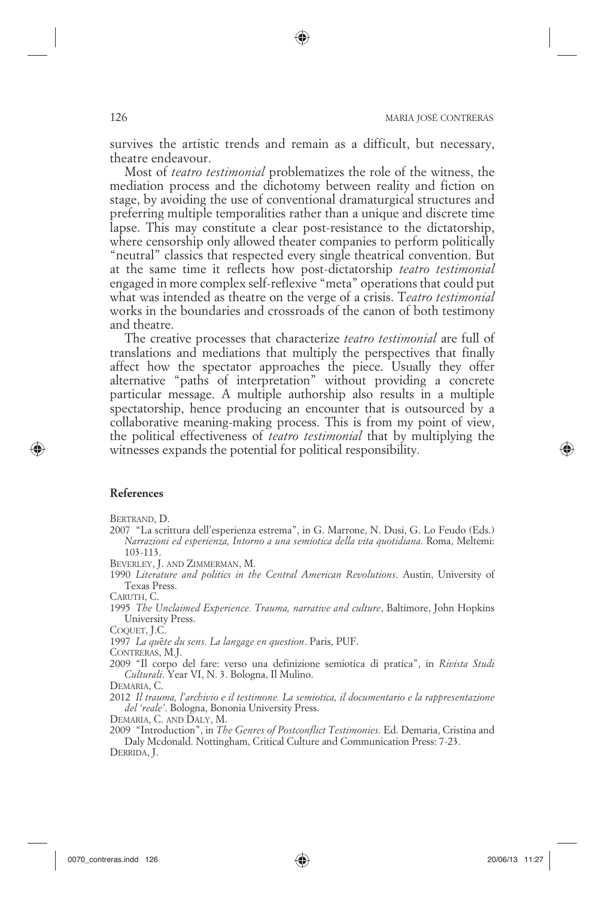survives the artistic trends and remain as a difficult, but necessary, theatre endeavour.

Most of *teatro testimonial* problematizes the role of the witness, the mediation process and the dichotomy between reality and fiction on stage, by avoiding the use of conventional dramaturgical structures and preferring multiple temporalities rather than a unique and discrete time lapse. This may constitute a clear post-resistance to the dictatorship, where censorship only allowed theater companies to perform politically "neutral" classics that respected every single theatrical convention. But at the same time it reflects how post-dictatorship *teatro testimonial* engaged in more complex self-reflexive "meta" operations that could put what was intended as theatre on the verge of a crisis. T*eatro testimonial* works in the boundaries and crossroads of the canon of both testimony and theatre.

The creative processes that characterize *teatro testimonial* are full of translations and mediations that multiply the perspectives that finally affect how the spectator approaches the piece. Usually they offer alternative "paths of interpretation" without providing a concrete particular message. A multiple authorship also results in a multiple spectatorship, hence producing an encounter that is outsourced by a collaborative meaning-making process. This is from my point of view, the political effectiveness of *teatro testimonial* that by multiplying the witnesses expands the potential for political responsibility.

#### **References**

⊕

BERTRAND, D.

2007 "La scrittura dell'esperienza estrema", in G. Marrone, N. Dusi, G. Lo Feudo (Eds.) *Narrazioni ed esperienza, Intorno a una semiotica della vita quotidiana*. Roma, Meltemi: 103-113.

BEVERLEY, J. AND ZIMMERMAN, M.

1990 *Literature and politics in the Central American Revolutions*. Austin, University of Texas Press.

CARUTH, C.

1995 *The Unclaimed Experience. Trauma, narrative and culture*, Baltimore, John Hopkins University Press.

COQUET, J.C.

1997 *La qu*ê*te du sens. La langage en question*. Paris, PUF.

CONTRERAS, M.J.

2009 "Il corpo del fare: verso una definizione semiotica di pratica", in *Rivista Studi Culturali*. Year VI, N. 3. Bologna, Il Mulino.

DEMARIA<sub>C</sub>.

2012 *Il trauma, l'archivio e il testimone. La semiotica, il documentario e la rappresentazione del 'reale'*. Bologna, Bononia University Press.

DEMARIA, C. AND DALY, M.

2009 "Introduction", in *The Genres of Postconflict Testimonies*. Ed. Demaria, Cristina and Daly Mcdonald. Nottingham, Critical Culture and Communication Press: 7-23. DERRIDA, J.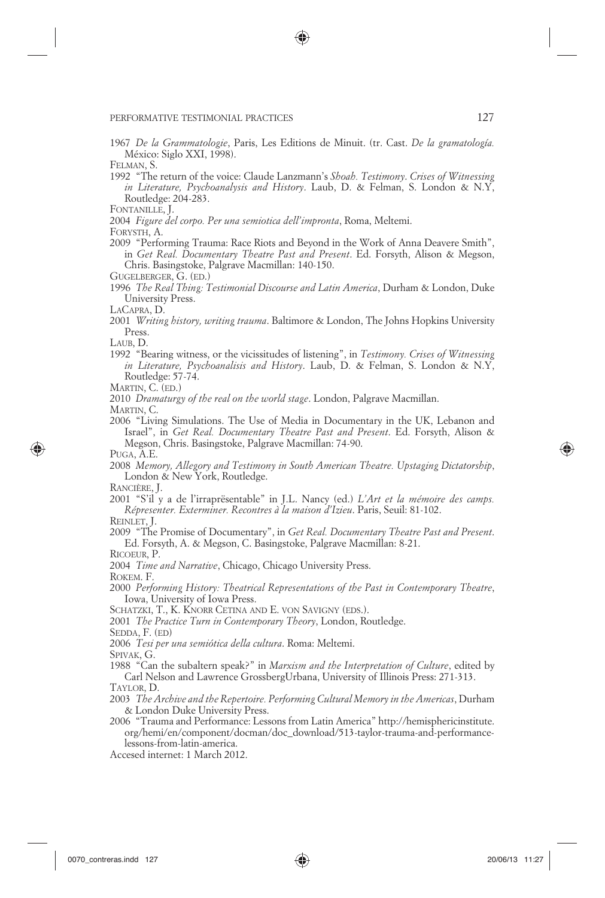1967 *De la Grammatologie*, Paris, Les Editions de Minuit. (tr. Cast. *De la gramatología.* México: Siglo XXI, 1998).

FELMAN<sub>S</sub>

- 1992 "The return of the voice: Claude Lanzmann's *Shoah. Testimony*. *Crises of Witnessing in Literature, Psychoanalysis and History*. Laub, D. & Felman, S. London & N.Y, Routledge: 204-283.
- FONTANILLE, J.

2004 *Figure del corpo. Per una semiotica dell'impronta*, Roma, Meltemi.

- FORYSTH, A.
- 2009 "Performing Trauma: Race Riots and Beyond in the Work of Anna Deavere Smith", in *Get Real. Documentary Theatre Past and Present*. Ed. Forsyth, Alison & Megson, Chris. Basingstoke, Palgrave Macmillan: 140-150.
- GUGELBERGER, G. (ED.)
- 1996 *The Real Thing: Testimonial Discourse and Latin America*, Durham & London, Duke University Press.

LACAPRA, D.

2001 *Writing history, writing trauma*. Baltimore & London, The Johns Hopkins University Press.

LAUB, D.

- 1992 "Bearing witness, or the vicissitudes of listening", in *Testimony. Crises of Witnessing in Literature, Psychoanalisis and History*. Laub, D. & Felman, S. London & N.Y, Routledge: 57-74.
- MARTIN, C. (ED.)
- 2010 *Dramaturgy of the real on the world stage*. London, Palgrave Macmillan.

MARTIN, C.

2006 "Living Simulations. The Use of Media in Documentary in the UK, Lebanon and Israel", in *Get Real. Documentary Theatre Past and Present*. Ed. Forsyth, Alison & Megson, Chris. Basingstoke, Palgrave Macmillan: 74-90.

PUGA, A.E.

⊕

2008 *Memory, Allegory and Testimony in South American Theatre. Upstaging Dictatorship*, London & New York, Routledge.

RANCIÈRE, J.

2001 "S'il y a de l'irraprësentable" in J.L. Nancy (ed.) *L'Art et la mémoire des camps. Répresenter. Exterminer. Recontres à la maison d'Izieu*. Paris, Seuil: 81-102.

REINLET<sub>I</sub>

- 2009 "The Promise of Documentary", in *Get Real. Documentary Theatre Past and Present*. Ed. Forsyth, A. & Megson, C. Basingstoke, Palgrave Macmillan: 8-21.
- RICOEUR, P.

2004 *Time and Narrative*, Chicago, Chicago University Press. ROKEM. F.

- 2000 *Performing History: Theatrical Representations of the Past in Contemporary Theatre*, Iowa, University of Iowa Press.
- SCHATZKI, T., K. KNORR CETINA AND E. VON SAVIGNY (EDS.).

2001 *The Practice Turn in Contemporary Theory*, London, Routledge.

SEDDA, F. (ED)

2006 *Tesi per una semiótica della cultura*. Roma: Meltemi.

SPIVAK, G.

1988 "Can the subaltern speak?" in *Marxism and the Interpretation of Culture*, edited by Carl Nelson and Lawrence GrossbergUrbana, University of Illinois Press: 271-313.

TAYLOR, D.

- 2003 *The Archive and the Repertoire. Performing Cultural Memory in the Americas*, Durham & London Duke University Press.
- 2006 "Trauma and Performance: Lessons from Latin America" http://hemisphericinstitute. org/hemi/en/component/docman/doc\_download/513-taylor-trauma-and-performancelessons-from-latin-america.

Accesed internet: 1 March 2012.